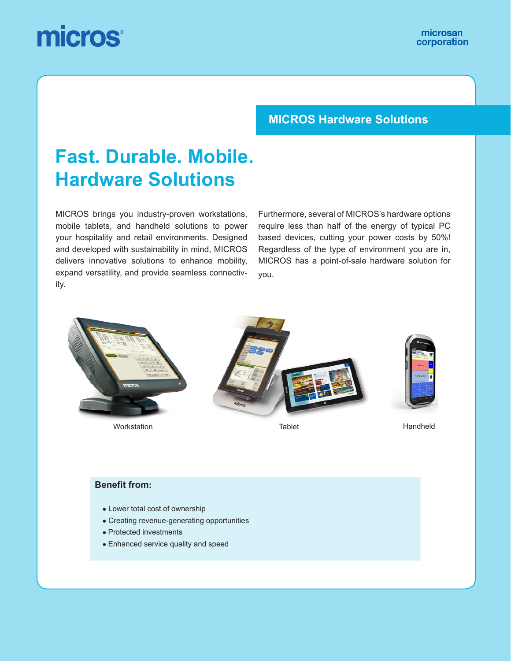# micros

### **MICROS Hardware Solutions**

## **Fast. Durable. Mobile. Hardware Solutions**

MICROS brings you industry-proven workstations, mobile tablets, and handheld solutions to power your hospitality and retail environments. Designed and developed with sustainability in mind, MICROS delivers innovative solutions to enhance mobility, expand versatility, and provide seamless connectivity.

Furthermore, several of MICROS's hardware options require less than half of the energy of typical PC based devices, cutting your power costs by 50%! Regardless of the type of environment you are in, MICROS has a point-of-sale hardware solution for you.



Workstation Tablet Handheld



#### **Benefit from:**

- Lower total cost of ownership
- Creating revenue-generating opportunities
- Protected investments
- Enhanced service quality and speed